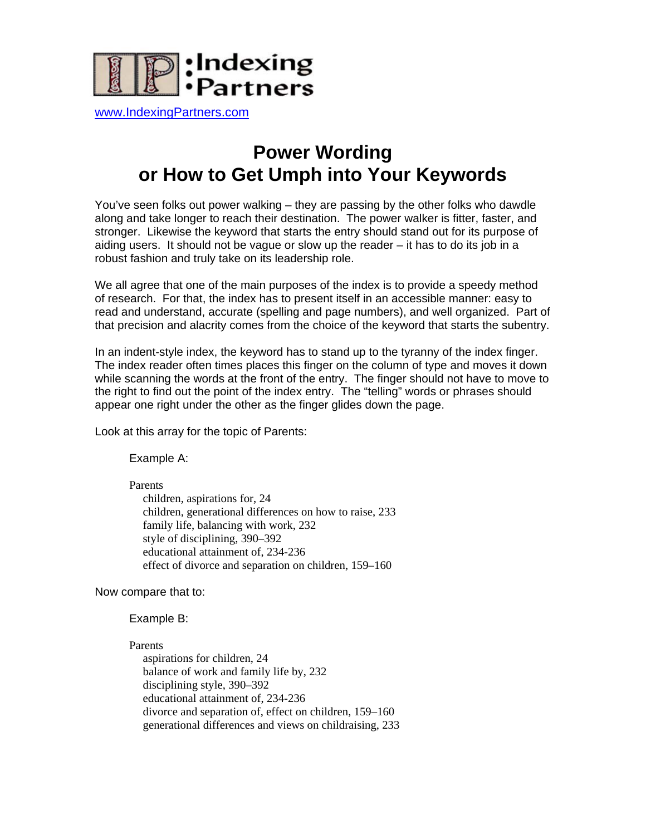

[www.IndexingPartners.com](http://www.indexingpartners.com/)

## **Power Wording or How to Get Umph into Your Keywords**

You've seen folks out power walking – they are passing by the other folks who dawdle along and take longer to reach their destination. The power walker is fitter, faster, and stronger. Likewise the keyword that starts the entry should stand out for its purpose of aiding users. It should not be vague or slow up the reader – it has to do its job in a robust fashion and truly take on its leadership role.

We all agree that one of the main purposes of the index is to provide a speedy method of research. For that, the index has to present itself in an accessible manner: easy to read and understand, accurate (spelling and page numbers), and well organized. Part of that precision and alacrity comes from the choice of the keyword that starts the subentry.

In an indent-style index, the keyword has to stand up to the tyranny of the index finger. The index reader often times places this finger on the column of type and moves it down while scanning the words at the front of the entry. The finger should not have to move to the right to find out the point of the index entry. The "telling" words or phrases should appear one right under the other as the finger glides down the page.

Look at this array for the topic of Parents:

Example A:

Parents children, aspirations for, 24 children, generational differences on how to raise, 233 family life, balancing with work, 232 style of disciplining, 390–392 educational attainment of, 234-236 effect of divorce and separation on children, 159–160

Now compare that to:

Example B:

Parents aspirations for children, 24 balance of work and family life by, 232 disciplining style, 390–392 educational attainment of, 234-236 divorce and separation of, effect on children, 159–160 generational differences and views on childraising, 233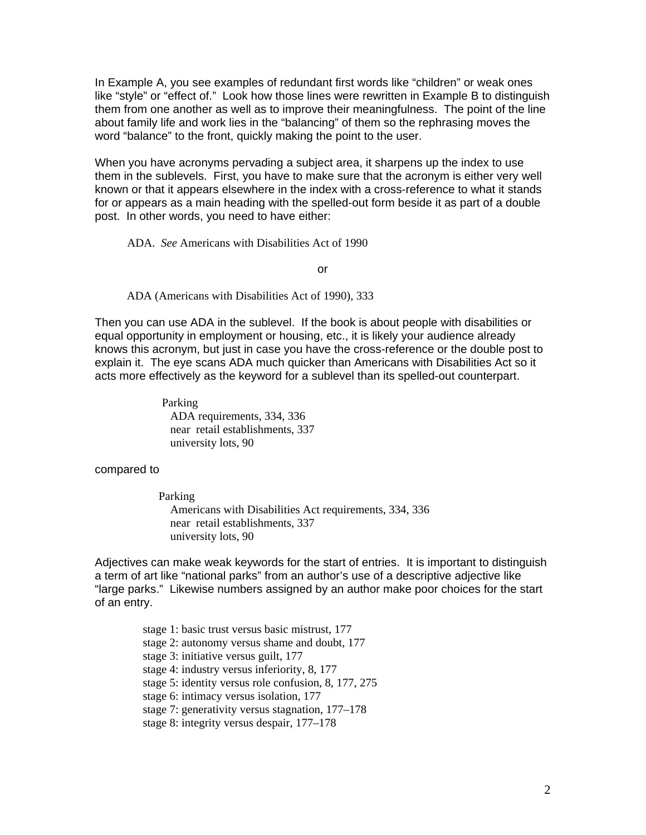In Example A, you see examples of redundant first words like "children" or weak ones like "style" or "effect of." Look how those lines were rewritten in Example B to distinguish them from one another as well as to improve their meaningfulness. The point of the line about family life and work lies in the "balancing" of them so the rephrasing moves the word "balance" to the front, quickly making the point to the user.

When you have acronyms pervading a subject area, it sharpens up the index to use them in the sublevels. First, you have to make sure that the acronym is either very well known or that it appears elsewhere in the index with a cross-reference to what it stands for or appears as a main heading with the spelled-out form beside it as part of a double post. In other words, you need to have either:

ADA. *See* Americans with Disabilities Act of 1990

or

ADA (Americans with Disabilities Act of 1990), 333

Then you can use ADA in the sublevel. If the book is about people with disabilities or equal opportunity in employment or housing, etc., it is likely your audience already knows this acronym, but just in case you have the cross-reference or the double post to explain it. The eye scans ADA much quicker than Americans with Disabilities Act so it acts more effectively as the keyword for a sublevel than its spelled-out counterpart.

> Parking ADA requirements, 334, 336 near retail establishments, 337 university lots, 90

compared to

Parking

 Americans with Disabilities Act requirements, 334, 336 near retail establishments, 337 university lots, 90

Adjectives can make weak keywords for the start of entries. It is important to distinguish a term of art like "national parks" from an author's use of a descriptive adjective like "large parks." Likewise numbers assigned by an author make poor choices for the start of an entry.

> stage 1: basic trust versus basic mistrust, 177 stage 2: autonomy versus shame and doubt, 177 stage 3: initiative versus guilt, 177 stage 4: industry versus inferiority, 8, 177 stage 5: identity versus role confusion, 8, 177, 275 stage 6: intimacy versus isolation, 177 stage 7: generativity versus stagnation, 177–178 stage 8: integrity versus despair, 177–178